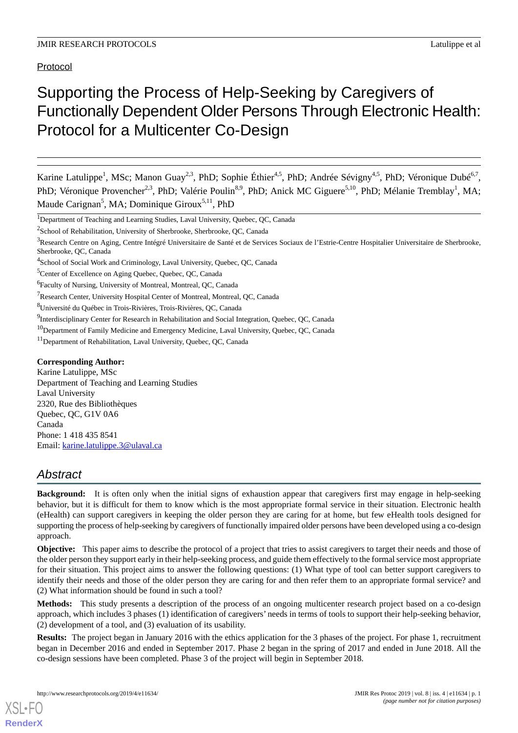Protocol

# Supporting the Process of Help-Seeking by Caregivers of Functionally Dependent Older Persons Through Electronic Health: Protocol for a Multicenter Co-Design

Karine Latulippe<sup>1</sup>, MSc; Manon Guay<sup>2,3</sup>, PhD; Sophie Éthier<sup>4,5</sup>, PhD; Andrée Sévigny<sup>4,5</sup>, PhD; Véronique Dubé<sup>6,7</sup>, PhD; Véronique Provencher<sup>2,3</sup>, PhD; Valérie Poulin<sup>8,9</sup>, PhD; Anick MC Giguere<sup>5,10</sup>, PhD; Mélanie Tremblay<sup>1</sup>, MA; Maude Carignan<sup>5</sup>, MA; Dominique Giroux<sup>5,11</sup>, PhD

<sup>1</sup>Department of Teaching and Learning Studies, Laval University, Quebec, QC, Canada

<sup>2</sup>School of Rehabilitation, University of Sherbrooke, Sherbrooke, QC, Canada

<sup>5</sup>Center of Excellence on Aging Quebec, Quebec, QC, Canada

#### **Corresponding Author:**

Karine Latulippe, MSc Department of Teaching and Learning Studies Laval University 2320, Rue des Bibliothèques Quebec, QC, G1V 0A6 Canada Phone: 1 418 435 8541 Email: [karine.latulippe.3@ulaval.ca](mailto:karine.latulippe.3@ulaval.ca)

# *Abstract*

**Background:** It is often only when the initial signs of exhaustion appear that caregivers first may engage in help-seeking behavior, but it is difficult for them to know which is the most appropriate formal service in their situation. Electronic health (eHealth) can support caregivers in keeping the older person they are caring for at home, but few eHealth tools designed for supporting the process of help-seeking by caregivers of functionally impaired older persons have been developed using a co-design approach.

**Objective:** This paper aims to describe the protocol of a project that tries to assist caregivers to target their needs and those of the older person they support early in their help-seeking process, and guide them effectively to the formal service most appropriate for their situation. This project aims to answer the following questions: (1) What type of tool can better support caregivers to identify their needs and those of the older person they are caring for and then refer them to an appropriate formal service? and (2) What information should be found in such a tool?

**Methods:** This study presents a description of the process of an ongoing multicenter research project based on a co-design approach, which includes 3 phases (1) identification of caregivers' needs in terms of tools to support their help-seeking behavior, (2) development of a tool, and (3) evaluation of its usability.

**Results:** The project began in January 2016 with the ethics application for the 3 phases of the project. For phase 1, recruitment began in December 2016 and ended in September 2017. Phase 2 began in the spring of 2017 and ended in June 2018. All the co-design sessions have been completed. Phase 3 of the project will begin in September 2018.

<sup>&</sup>lt;sup>3</sup>Research Centre on Aging, Centre Intégré Universitaire de Santé et de Services Sociaux de l'Estrie-Centre Hospitalier Universitaire de Sherbrooke, Sherbrooke, QC, Canada

<sup>&</sup>lt;sup>4</sup>School of Social Work and Criminology, Laval University, Quebec, QC, Canada

<sup>6</sup> Faculty of Nursing, University of Montreal, Montreal, QC, Canada

<sup>7</sup>Research Center, University Hospital Center of Montreal, Montreal, QC, Canada

<sup>8</sup>Université du Québec in Trois-Rivières, Trois-Rivières, QC, Canada

<sup>&</sup>lt;sup>9</sup>Interdisciplinary Center for Research in Rehabilitation and Social Integration, Quebec, QC, Canada

<sup>&</sup>lt;sup>10</sup>Department of Family Medicine and Emergency Medicine, Laval University, Quebec, QC, Canada

<sup>11</sup>Department of Rehabilitation, Laval University, Quebec, QC, Canada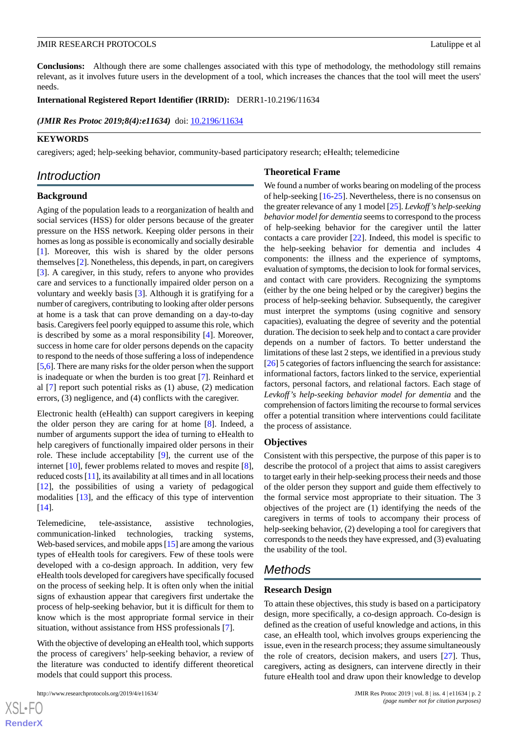**Conclusions:** Although there are some challenges associated with this type of methodology, the methodology still remains relevant, as it involves future users in the development of a tool, which increases the chances that the tool will meet the users' needs.

#### **International Registered Report Identifier (IRRID):** DERR1-10.2196/11634

*(JMIR Res Protoc 2019;8(4):e11634)* doi:  $10.2196/11634$ 

## **KEYWORDS**

caregivers; aged; help-seeking behavior, community-based participatory research; eHealth; telemedicine

# *Introduction*

## **Background**

Aging of the population leads to a reorganization of health and social services (HSS) for older persons because of the greater pressure on the HSS network. Keeping older persons in their homes as long as possible is economically and socially desirable [[1\]](#page-6-0). Moreover, this wish is shared by the older persons themselves [[2\]](#page-6-1). Nonetheless, this depends, in part, on caregivers [[3\]](#page-6-2). A caregiver, in this study, refers to anyone who provides care and services to a functionally impaired older person on a voluntary and weekly basis [\[3\]](#page-6-2). Although it is gratifying for a number of caregivers, contributing to looking after older persons at home is a task that can prove demanding on a day-to-day basis. Caregivers feel poorly equipped to assume this role, which is described by some as a moral responsibility [[4\]](#page-6-3). Moreover, success in home care for older persons depends on the capacity to respond to the needs of those suffering a loss of independence [[5,](#page-6-4)[6\]](#page-6-5). There are many risks for the older person when the support is inadequate or when the burden is too great [\[7](#page-6-6)]. Reinhard et al [\[7](#page-6-6)] report such potential risks as (1) abuse, (2) medication errors, (3) negligence, and (4) conflicts with the caregiver.

Electronic health (eHealth) can support caregivers in keeping the older person they are caring for at home [\[8](#page-6-7)]. Indeed, a number of arguments support the idea of turning to eHealth to help caregivers of functionally impaired older persons in their role. These include acceptability [\[9](#page-6-8)], the current use of the internet [\[10](#page-6-9)], fewer problems related to moves and respite [[8\]](#page-6-7), reduced costs [\[11](#page-6-10)], its availability at all times and in all locations [[12\]](#page-6-11), the possibilities of using a variety of pedagogical modalities [\[13](#page-6-12)], and the efficacy of this type of intervention [[14\]](#page-6-13).

Telemedicine, tele-assistance, assistive technologies, communication-linked technologies, tracking systems, Web-based services, and mobile apps [[15\]](#page-6-14) are among the various types of eHealth tools for caregivers. Few of these tools were developed with a co-design approach. In addition, very few eHealth tools developed for caregivers have specifically focused on the process of seeking help. It is often only when the initial signs of exhaustion appear that caregivers first undertake the process of help-seeking behavior, but it is difficult for them to know which is the most appropriate formal service in their situation, without assistance from HSS professionals [[7\]](#page-6-6).

With the objective of developing an eHealth tool, which supports the process of caregivers' help-seeking behavior, a review of the literature was conducted to identify different theoretical models that could support this process.

## **Theoretical Frame**

We found a number of works bearing on modeling of the process of help-seeking [\[16](#page-6-15)-[25\]](#page-7-0). Nevertheless, there is no consensus on the greater relevance of any 1 model [\[25\]](#page-7-0). *Levkoff's help-seeking behavior model for dementia* seems to correspond to the process of help-seeking behavior for the caregiver until the latter contacts a care provider [[22\]](#page-7-1). Indeed, this model is specific to the help-seeking behavior for dementia and includes 4 components: the illness and the experience of symptoms, evaluation of symptoms, the decision to look for formal services, and contact with care providers. Recognizing the symptoms (either by the one being helped or by the caregiver) begins the process of help-seeking behavior. Subsequently, the caregiver must interpret the symptoms (using cognitive and sensory capacities), evaluating the degree of severity and the potential duration. The decision to seek help and to contact a care provider depends on a number of factors. To better understand the limitations of these last 2 steps, we identified in a previous study [[26\]](#page-7-2) 5 categories of factors influencing the search for assistance: informational factors, factors linked to the service, experiential factors, personal factors, and relational factors. Each stage of *Levkoff's help-seeking behavior model for dementia* and the comprehension of factors limiting the recourse to formal services offer a potential transition where interventions could facilitate the process of assistance.

#### **Objectives**

Consistent with this perspective, the purpose of this paper is to describe the protocol of a project that aims to assist caregivers to target early in their help-seeking process their needs and those of the older person they support and guide them effectively to the formal service most appropriate to their situation. The 3 objectives of the project are (1) identifying the needs of the caregivers in terms of tools to accompany their process of help-seeking behavior, (2) developing a tool for caregivers that corresponds to the needs they have expressed, and (3) evaluating the usability of the tool.

# *Methods*

#### **Research Design**

To attain these objectives, this study is based on a participatory design, more specifically, a co-design approach. Co-design is defined as the creation of useful knowledge and actions, in this case, an eHealth tool, which involves groups experiencing the issue, even in the research process; they assume simultaneously the role of creators, decision makers, and users [\[27](#page-7-3)]. Thus, caregivers, acting as designers, can intervene directly in their future eHealth tool and draw upon their knowledge to develop

 $XS$  $\cdot$ FC **[RenderX](http://www.renderx.com/)**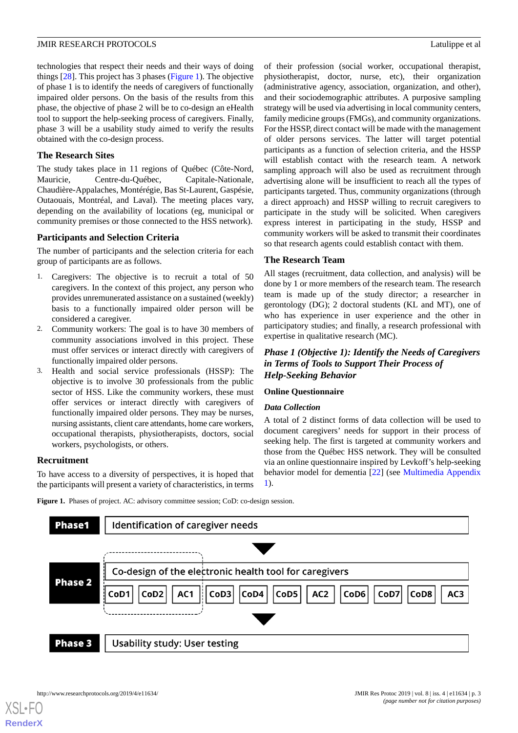technologies that respect their needs and their ways of doing things [[28\]](#page-7-4). This project has 3 phases [\(Figure 1](#page-2-0)). The objective of phase 1 is to identify the needs of caregivers of functionally impaired older persons. On the basis of the results from this phase, the objective of phase 2 will be to co-design an eHealth tool to support the help-seeking process of caregivers. Finally, phase 3 will be a usability study aimed to verify the results obtained with the co-design process.

## **The Research Sites**

The study takes place in 11 regions of Québec (Côte-Nord, Mauricie, Centre-du-Québec, Capitale-Nationale, Chaudière-Appalaches, Montérégie, Bas St-Laurent, Gaspésie, Outaouais, Montréal, and Laval). The meeting places vary, depending on the availability of locations (eg, municipal or community premises or those connected to the HSS network).

## **Participants and Selection Criteria**

The number of participants and the selection criteria for each group of participants are as follows.

- 1. Caregivers: The objective is to recruit a total of 50 caregivers. In the context of this project, any person who provides unremunerated assistance on a sustained (weekly) basis to a functionally impaired older person will be considered a caregiver.
- 2. Community workers: The goal is to have 30 members of community associations involved in this project. These must offer services or interact directly with caregivers of functionally impaired older persons.
- 3. Health and social service professionals (HSSP): The objective is to involve 30 professionals from the public sector of HSS. Like the community workers, these must offer services or interact directly with caregivers of functionally impaired older persons. They may be nurses, nursing assistants, client care attendants, home care workers, occupational therapists, physiotherapists, doctors, social workers, psychologists, or others.

## <span id="page-2-0"></span>**Recruitment**

To have access to a diversity of perspectives, it is hoped that the participants will present a variety of characteristics, in terms

of their profession (social worker, occupational therapist, physiotherapist, doctor, nurse, etc), their organization (administrative agency, association, organization, and other), and their sociodemographic attributes. A purposive sampling strategy will be used via advertising in local community centers, family medicine groups (FMGs), and community organizations. For the HSSP, direct contact will be made with the management of older persons services. The latter will target potential participants as a function of selection criteria, and the HSSP will establish contact with the research team. A network sampling approach will also be used as recruitment through advertising alone will be insufficient to reach all the types of participants targeted. Thus, community organizations (through a direct approach) and HSSP willing to recruit caregivers to participate in the study will be solicited. When caregivers express interest in participating in the study, HSSP and community workers will be asked to transmit their coordinates so that research agents could establish contact with them.

## **The Research Team**

All stages (recruitment, data collection, and analysis) will be done by 1 or more members of the research team. The research team is made up of the study director; a researcher in gerontology (DG); 2 doctoral students (KL and MT), one of who has experience in user experience and the other in participatory studies; and finally, a research professional with expertise in qualitative research (MC).

## *Phase 1 (Objective 1): Identify the Needs of Caregivers in Terms of Tools to Support Their Process of Help-Seeking Behavior*

#### **Online Questionnaire**

## *Data Collection*

A total of 2 distinct forms of data collection will be used to document caregivers' needs for support in their process of seeking help. The first is targeted at community workers and those from the Québec HSS network. They will be consulted via an online questionnaire inspired by Levkoff's help-seeking behavior model for dementia [[22\]](#page-7-1) (see [Multimedia Appendix](#page-6-16) [1\)](#page-6-16).

Figure 1. Phases of project. AC: advisory committee session; CoD: co-design session.

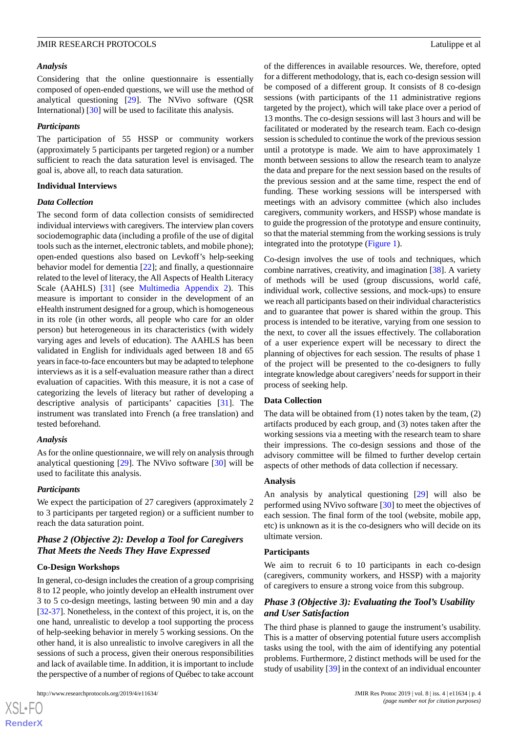#### *Analysis*

Considering that the online questionnaire is essentially composed of open-ended questions, we will use the method of analytical questioning [[29\]](#page-7-5). The NVivo software (QSR International) [[30\]](#page-7-6) will be used to facilitate this analysis.

#### *Participants*

The participation of 55 HSSP or community workers (approximately 5 participants per targeted region) or a number sufficient to reach the data saturation level is envisaged. The goal is, above all, to reach data saturation.

#### **Individual Interviews**

#### *Data Collection*

The second form of data collection consists of semidirected individual interviews with caregivers. The interview plan covers sociodemographic data (including a profile of the use of digital tools such as the internet, electronic tablets, and mobile phone); open-ended questions also based on Levkoff's help-seeking behavior model for dementia [\[22](#page-7-1)]; and finally, a questionnaire related to the level of literacy, the All Aspects of Health Literacy Scale (AAHLS) [[31\]](#page-7-7) (see [Multimedia Appendix 2](#page-6-17)). This measure is important to consider in the development of an eHealth instrument designed for a group, which is homogeneous in its role (in other words, all people who care for an older person) but heterogeneous in its characteristics (with widely varying ages and levels of education). The AAHLS has been validated in English for individuals aged between 18 and 65 years in face-to-face encounters but may be adapted to telephone interviews as it is a self-evaluation measure rather than a direct evaluation of capacities. With this measure, it is not a case of categorizing the levels of literacy but rather of developing a descriptive analysis of participants' capacities [\[31](#page-7-7)]. The instrument was translated into French (a free translation) and tested beforehand.

## *Analysis*

As for the online questionnaire, we will rely on analysis through analytical questioning [\[29](#page-7-5)]. The NVivo software [[30\]](#page-7-6) will be used to facilitate this analysis.

## *Participants*

We expect the participation of 27 caregivers (approximately 2 to 3 participants per targeted region) or a sufficient number to reach the data saturation point.

## *Phase 2 (Objective 2): Develop a Tool for Caregivers That Meets the Needs They Have Expressed*

## **Co-Design Workshops**

In general, co-design includes the creation of a group comprising 8 to 12 people, who jointly develop an eHealth instrument over 3 to 5 co-design meetings, lasting between 90 min and a day [[32](#page-7-8)[-37](#page-7-9)]. Nonetheless, in the context of this project, it is, on the one hand, unrealistic to develop a tool supporting the process of help-seeking behavior in merely 5 working sessions. On the other hand, it is also unrealistic to involve caregivers in all the sessions of such a process, given their onerous responsibilities and lack of available time. In addition, it is important to include the perspective of a number of regions of Québec to take account

 $XS$  $\cdot$ FC **[RenderX](http://www.renderx.com/)** of the differences in available resources. We, therefore, opted for a different methodology, that is, each co-design session will be composed of a different group. It consists of 8 co-design sessions (with participants of the 11 administrative regions targeted by the project), which will take place over a period of 13 months. The co-design sessions will last 3 hours and will be facilitated or moderated by the research team. Each co-design session is scheduled to continue the work of the previous session until a prototype is made. We aim to have approximately 1 month between sessions to allow the research team to analyze the data and prepare for the next session based on the results of the previous session and at the same time, respect the end of funding. These working sessions will be interspersed with meetings with an advisory committee (which also includes caregivers, community workers, and HSSP) whose mandate is to guide the progression of the prototype and ensure continuity, so that the material stemming from the working sessions is truly integrated into the prototype ([Figure 1](#page-2-0)).

Co-design involves the use of tools and techniques, which combine narratives, creativity, and imagination [\[38](#page-7-10)]. A variety of methods will be used (group discussions, world café, individual work, collective sessions, and mock-ups) to ensure we reach all participants based on their individual characteristics and to guarantee that power is shared within the group. This process is intended to be iterative, varying from one session to the next, to cover all the issues effectively. The collaboration of a user experience expert will be necessary to direct the planning of objectives for each session. The results of phase 1 of the project will be presented to the co-designers to fully integrate knowledge about caregivers'needs for support in their process of seeking help.

## **Data Collection**

The data will be obtained from (1) notes taken by the team, (2) artifacts produced by each group, and (3) notes taken after the working sessions via a meeting with the research team to share their impressions. The co-design sessions and those of the advisory committee will be filmed to further develop certain aspects of other methods of data collection if necessary.

## **Analysis**

An analysis by analytical questioning [\[29](#page-7-5)] will also be performed using NVivo software [[30\]](#page-7-6) to meet the objectives of each session. The final form of the tool (website, mobile app, etc) is unknown as it is the co-designers who will decide on its ultimate version.

#### **Participants**

We aim to recruit 6 to 10 participants in each co-design (caregivers, community workers, and HSSP) with a majority of caregivers to ensure a strong voice from this subgroup.

## *Phase 3 (Objective 3): Evaluating the Tool's Usability and User Satisfaction*

The third phase is planned to gauge the instrument's usability. This is a matter of observing potential future users accomplish tasks using the tool, with the aim of identifying any potential problems. Furthermore, 2 distinct methods will be used for the study of usability [[39\]](#page-7-11) in the context of an individual encounter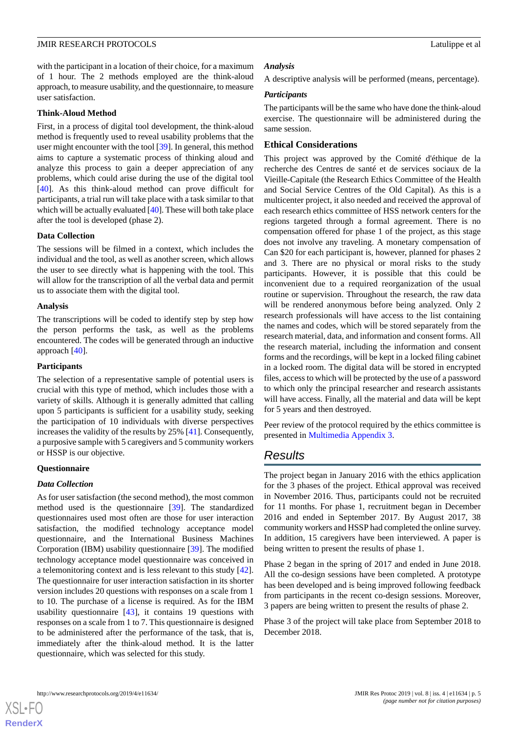with the participant in a location of their choice, for a maximum of 1 hour. The 2 methods employed are the think-aloud approach, to measure usability, and the questionnaire, to measure user satisfaction.

#### **Think-Aloud Method**

First, in a process of digital tool development, the think-aloud method is frequently used to reveal usability problems that the user might encounter with the tool [[39\]](#page-7-11). In general, this method aims to capture a systematic process of thinking aloud and analyze this process to gain a deeper appreciation of any problems, which could arise during the use of the digital tool [[40\]](#page-7-12). As this think-aloud method can prove difficult for participants, a trial run will take place with a task similar to that which will be actually evaluated [[40\]](#page-7-12). These will both take place after the tool is developed (phase 2).

#### **Data Collection**

The sessions will be filmed in a context, which includes the individual and the tool, as well as another screen, which allows the user to see directly what is happening with the tool. This will allow for the transcription of all the verbal data and permit us to associate them with the digital tool.

#### **Analysis**

The transcriptions will be coded to identify step by step how the person performs the task, as well as the problems encountered. The codes will be generated through an inductive approach [[40](#page-7-12)].

#### **Participants**

The selection of a representative sample of potential users is crucial with this type of method, which includes those with a variety of skills. Although it is generally admitted that calling upon 5 participants is sufficient for a usability study, seeking the participation of 10 individuals with diverse perspectives increases the validity of the results by 25% [[41\]](#page-7-13). Consequently, a purposive sample with 5 caregivers and 5 community workers or HSSP is our objective.

#### **Questionnaire**

## *Data Collection*

As for user satisfaction (the second method), the most common method used is the questionnaire [[39\]](#page-7-11). The standardized questionnaires used most often are those for user interaction satisfaction, the modified technology acceptance model questionnaire, and the International Business Machines Corporation (IBM) usability questionnaire [[39\]](#page-7-11). The modified technology acceptance model questionnaire was conceived in a telemonitoring context and is less relevant to this study [[42\]](#page-7-14). The questionnaire for user interaction satisfaction in its shorter version includes 20 questions with responses on a scale from 1 to 10. The purchase of a license is required. As for the IBM usability questionnaire [[43\]](#page-8-0), it contains 19 questions with responses on a scale from 1 to 7. This questionnaire is designed to be administered after the performance of the task, that is, immediately after the think-aloud method. It is the latter questionnaire, which was selected for this study.

#### *Analysis*

A descriptive analysis will be performed (means, percentage).

#### *Participants*

The participants will be the same who have done the think-aloud exercise. The questionnaire will be administered during the same session.

## **Ethical Considerations**

This project was approved by the Comité d'éthique de la recherche des Centres de santé et de services sociaux de la Vieille-Capitale (the Research Ethics Committee of the Health and Social Service Centres of the Old Capital). As this is a multicenter project, it also needed and received the approval of each research ethics committee of HSS network centers for the regions targeted through a formal agreement. There is no compensation offered for phase 1 of the project, as this stage does not involve any traveling. A monetary compensation of Can \$20 for each participant is, however, planned for phases 2 and 3. There are no physical or moral risks to the study participants. However, it is possible that this could be inconvenient due to a required reorganization of the usual routine or supervision. Throughout the research, the raw data will be rendered anonymous before being analyzed. Only 2 research professionals will have access to the list containing the names and codes, which will be stored separately from the research material, data, and information and consent forms. All the research material, including the information and consent forms and the recordings, will be kept in a locked filing cabinet in a locked room. The digital data will be stored in encrypted files, access to which will be protected by the use of a password to which only the principal researcher and research assistants will have access. Finally, all the material and data will be kept for 5 years and then destroyed.

Peer review of the protocol required by the ethics committee is presented in [Multimedia Appendix 3.](#page-6-18)

## *Results*

The project began in January 2016 with the ethics application for the 3 phases of the project. Ethical approval was received in November 2016. Thus, participants could not be recruited for 11 months. For phase 1, recruitment began in December 2016 and ended in September 2017. By August 2017, 38 community workers and HSSP had completed the online survey. In addition, 15 caregivers have been interviewed. A paper is being written to present the results of phase 1.

Phase 2 began in the spring of 2017 and ended in June 2018. All the co-design sessions have been completed. A prototype has been developed and is being improved following feedback from participants in the recent co-design sessions. Moreover, 3 papers are being written to present the results of phase 2.

Phase 3 of the project will take place from September 2018 to December 2018.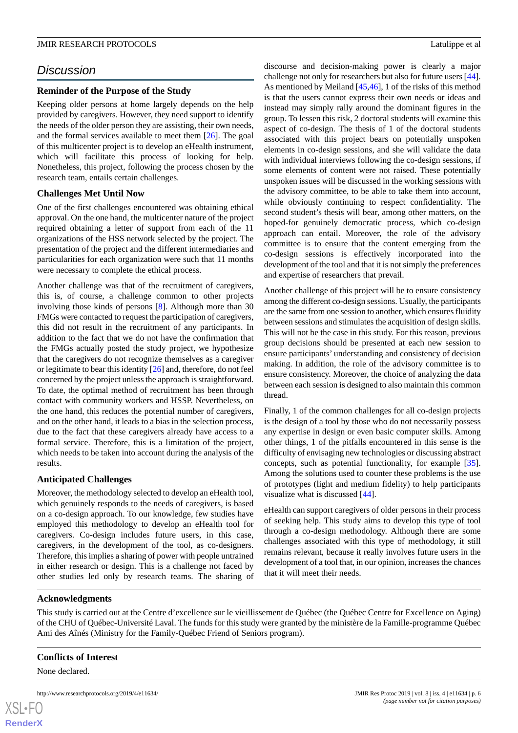# *Discussion*

## **Reminder of the Purpose of the Study**

Keeping older persons at home largely depends on the help provided by caregivers. However, they need support to identify the needs of the older person they are assisting, their own needs, and the formal services available to meet them [\[26](#page-7-2)]. The goal of this multicenter project is to develop an eHealth instrument, which will facilitate this process of looking for help. Nonetheless, this project, following the process chosen by the research team, entails certain challenges.

## **Challenges Met Until Now**

One of the first challenges encountered was obtaining ethical approval. On the one hand, the multicenter nature of the project required obtaining a letter of support from each of the 11 organizations of the HSS network selected by the project. The presentation of the project and the different intermediaries and particularities for each organization were such that 11 months were necessary to complete the ethical process.

Another challenge was that of the recruitment of caregivers, this is, of course, a challenge common to other projects involving those kinds of persons [[8\]](#page-6-7). Although more than 30 FMGs were contacted to request the participation of caregivers, this did not result in the recruitment of any participants. In addition to the fact that we do not have the confirmation that the FMGs actually posted the study project, we hypothesize that the caregivers do not recognize themselves as a caregiver or legitimate to bear this identity [[26\]](#page-7-2) and, therefore, do not feel concerned by the project unless the approach is straightforward. To date, the optimal method of recruitment has been through contact with community workers and HSSP. Nevertheless, on the one hand, this reduces the potential number of caregivers, and on the other hand, it leads to a bias in the selection process, due to the fact that these caregivers already have access to a formal service. Therefore, this is a limitation of the project, which needs to be taken into account during the analysis of the results.

## **Anticipated Challenges**

Moreover, the methodology selected to develop an eHealth tool, which genuinely responds to the needs of caregivers, is based on a co-design approach. To our knowledge, few studies have employed this methodology to develop an eHealth tool for caregivers. Co-design includes future users, in this case, caregivers, in the development of the tool, as co-designers. Therefore, this implies a sharing of power with people untrained in either research or design. This is a challenge not faced by other studies led only by research teams. The sharing of discourse and decision-making power is clearly a major challenge not only for researchers but also for future users [[44\]](#page-8-1). As mentioned by Meiland [\[45](#page-8-2),[46\]](#page-8-3), 1 of the risks of this method is that the users cannot express their own needs or ideas and instead may simply rally around the dominant figures in the group. To lessen this risk, 2 doctoral students will examine this aspect of co-design. The thesis of 1 of the doctoral students associated with this project bears on potentially unspoken elements in co-design sessions, and she will validate the data with individual interviews following the co-design sessions, if some elements of content were not raised. These potentially unspoken issues will be discussed in the working sessions with the advisory committee, to be able to take them into account, while obviously continuing to respect confidentiality. The second student's thesis will bear, among other matters, on the hoped-for genuinely democratic process, which co-design approach can entail. Moreover, the role of the advisory committee is to ensure that the content emerging from the co-design sessions is effectively incorporated into the development of the tool and that it is not simply the preferences and expertise of researchers that prevail.

Another challenge of this project will be to ensure consistency among the different co-design sessions. Usually, the participants are the same from one session to another, which ensures fluidity between sessions and stimulates the acquisition of design skills. This will not be the case in this study. For this reason, previous group decisions should be presented at each new session to ensure participants' understanding and consistency of decision making. In addition, the role of the advisory committee is to ensure consistency. Moreover, the choice of analyzing the data between each session is designed to also maintain this common thread.

Finally, 1 of the common challenges for all co-design projects is the design of a tool by those who do not necessarily possess any expertise in design or even basic computer skills. Among other things, 1 of the pitfalls encountered in this sense is the difficulty of envisaging new technologies or discussing abstract concepts, such as potential functionality, for example [[35\]](#page-7-15). Among the solutions used to counter these problems is the use of prototypes (light and medium fidelity) to help participants visualize what is discussed [[44\]](#page-8-1).

eHealth can support caregivers of older persons in their process of seeking help. This study aims to develop this type of tool through a co-design methodology. Although there are some challenges associated with this type of methodology, it still remains relevant, because it really involves future users in the development of a tool that, in our opinion, increases the chances that it will meet their needs.

## **Acknowledgments**

This study is carried out at the Centre d'excellence sur le vieillissement de Québec (the Québec Centre for Excellence on Aging) of the CHU of Québec-Université Laval. The funds for this study were granted by the ministère de la Famille-programme Québec Ami des Aînés (Ministry for the Family-Québec Friend of Seniors program).

## **Conflicts of Interest**

None declared.

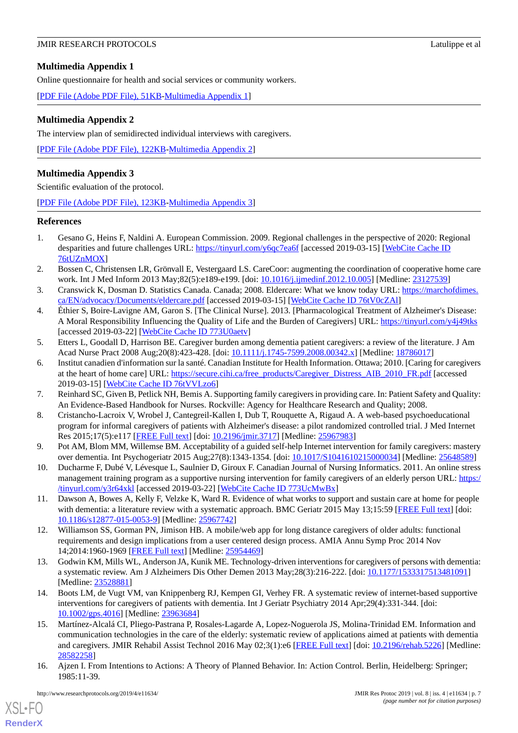## <span id="page-6-16"></span>**Multimedia Appendix 1**

Online questionnaire for health and social services or community workers.

<span id="page-6-17"></span>[[PDF File \(Adobe PDF File\), 51KB-Multimedia Appendix 1](https://jmir.org/api/download?alt_name=resprot_v8i4e11634_app1.pdf&filename=1777f3247094d2c80d0e46118d98a1e2.pdf)]

## **Multimedia Appendix 2**

The interview plan of semidirected individual interviews with caregivers.

<span id="page-6-18"></span>[[PDF File \(Adobe PDF File\), 122KB-Multimedia Appendix 2](https://jmir.org/api/download?alt_name=resprot_v8i4e11634_app2.pdf&filename=bac36ed32c82305ce0f065456333f5ae.pdf)]

## **Multimedia Appendix 3**

Scientific evaluation of the protocol.

[[PDF File \(Adobe PDF File\), 123KB-Multimedia Appendix 3](https://jmir.org/api/download?alt_name=resprot_v8i4e11634_app3.pdf&filename=1205dca622b4bb2134642ef482cd23b9.pdf)]

## <span id="page-6-0"></span>**References**

- <span id="page-6-1"></span>1. Gesano G, Heins F, Naldini A. European Commission. 2009. Regional challenges in the perspective of 2020: Regional desparities and future challenges URL: [https://tinyurl.com/y6qc7ea6f](https://ec.europa.eu/regional_policy/sources/docgener/studies/pdf/challenges2020/regional_challenges_demographic_challenge.pdf) [accessed 2019-03-15] [[WebCite Cache ID](http://www.webcitation.org/

                                76tUZnMOX) [76tUZnMOX\]](http://www.webcitation.org/

                                76tUZnMOX)
- <span id="page-6-2"></span>2. Bossen C, Christensen LR, Grönvall E, Vestergaard LS. CareCoor: augmenting the coordination of cooperative home care work. Int J Med Inform 2013 May;82(5):e189-e199. [doi: [10.1016/j.ijmedinf.2012.10.005\]](http://dx.doi.org/10.1016/j.ijmedinf.2012.10.005) [Medline: [23127539](http://www.ncbi.nlm.nih.gov/entrez/query.fcgi?cmd=Retrieve&db=PubMed&list_uids=23127539&dopt=Abstract)]
- <span id="page-6-3"></span>3. Cranswick K, Dosman D. Statistics Canada. Canada; 2008. Eldercare: What we know today URL: [https://marchofdimes.](https://marchofdimes.ca/EN/advocacy/Documents/eldercare.pdf) [ca/EN/advocacy/Documents/eldercare.pdf](https://marchofdimes.ca/EN/advocacy/Documents/eldercare.pdf) [accessed 2019-03-15] [\[WebCite Cache ID 76tV0cZAl\]](http://www.webcitation.org/

                                76tV0cZAl)
- <span id="page-6-4"></span>4. Éthier S, Boire-Lavigne AM, Garon S. [The Clinical Nurse]. 2013. [Pharmacological Treatment of Alzheimer's Disease: A Moral Responsibility Influencing the Quality of Life and the Burden of Caregivers] URL: [https://tinyurl.com/y4j49tks](http://revue-infirmiereclinicienne.uqar.ca/Parutions/documents/Ethieretal_2013_InfClinicienneVol10no1pp1-10.pdf) [accessed 2019-03-22] [\[WebCite Cache ID 773U0aetv\]](http://www.webcitation.org/

                                773U0aetv)
- <span id="page-6-5"></span>5. Etters L, Goodall D, Harrison BE. Caregiver burden among dementia patient caregivers: a review of the literature. J Am Acad Nurse Pract 2008 Aug; 20(8): 423-428. [doi: [10.1111/j.1745-7599.2008.00342.x\]](http://dx.doi.org/10.1111/j.1745-7599.2008.00342.x) [Medline: [18786017](http://www.ncbi.nlm.nih.gov/entrez/query.fcgi?cmd=Retrieve&db=PubMed&list_uids=18786017&dopt=Abstract)]
- <span id="page-6-7"></span><span id="page-6-6"></span>6. Institut canadien d'information sur la santé. Canadian Institute for Health Information. Ottawa; 2010. [Caring for caregivers at the heart of home care] URL: [https://secure.cihi.ca/free\\_products/Caregiver\\_Distress\\_AIB\\_2010\\_FR.pdf](https://secure.cihi.ca/free_products/Caregiver_Distress_AIB_2010_FR.pdf) [accessed 2019-03-15] [\[WebCite Cache ID 76tVVLzo6\]](http://www.webcitation.org/

                                76tVVLzo6)
- <span id="page-6-8"></span>7. Reinhard SC, Given B, Petlick NH, Bemis A. Supporting family caregivers in providing care. In: Patient Safety and Quality: An Evidence-Based Handbook for Nurses. Rockville: Agency for Healthcare Research and Quality; 2008.
- <span id="page-6-9"></span>8. Cristancho-Lacroix V, Wrobel J, Cantegreil-Kallen I, Dub T, Rouquette A, Rigaud A. A web-based psychoeducational program for informal caregivers of patients with Alzheimer's disease: a pilot randomized controlled trial. J Med Internet Res 2015;17(5):e117 [\[FREE Full text\]](http://www.jmir.org/2015/5/e117/) [doi: [10.2196/jmir.3717](http://dx.doi.org/10.2196/jmir.3717)] [Medline: [25967983\]](http://www.ncbi.nlm.nih.gov/entrez/query.fcgi?cmd=Retrieve&db=PubMed&list_uids=25967983&dopt=Abstract)
- <span id="page-6-10"></span>9. Pot AM, Blom MM, Willemse BM. Acceptability of a guided self-help Internet intervention for family caregivers: mastery over dementia. Int Psychogeriatr 2015 Aug;27(8):1343-1354. [doi: [10.1017/S1041610215000034\]](http://dx.doi.org/10.1017/S1041610215000034) [Medline: [25648589](http://www.ncbi.nlm.nih.gov/entrez/query.fcgi?cmd=Retrieve&db=PubMed&list_uids=25648589&dopt=Abstract)]
- <span id="page-6-11"></span>10. Ducharme F, Dubé V, Lévesque L, Saulnier D, Giroux F. Canadian Journal of Nursing Informatics. 2011. An online stress management training program as a supportive nursing intervention for family caregivers of an elderly person URL: [https:/](https://www.researchgate.net/publication/280055614_An_Online_Stress_Management_Training_Program_as_a_Supportive_Nursing_Intervention_for_Family_Caregivers_of_an_Elderly_Relative_Living_at_Home) [/tinyurl.com/y3r64xkl](https://www.researchgate.net/publication/280055614_An_Online_Stress_Management_Training_Program_as_a_Supportive_Nursing_Intervention_for_Family_Caregivers_of_an_Elderly_Relative_Living_at_Home) [accessed 2019-03-22] [[WebCite Cache ID 773UcMwBx\]](http://www.webcitation.org/

                                773UcMwBx)
- <span id="page-6-12"></span>11. Dawson A, Bowes A, Kelly F, Velzke K, Ward R. Evidence of what works to support and sustain care at home for people with dementia: a literature review with a systematic approach. BMC Geriatr 2015 May 13;15:59 [\[FREE Full text\]](https://bmcgeriatr.biomedcentral.com/articles/10.1186/s12877-015-0053-9) [doi: [10.1186/s12877-015-0053-9\]](http://dx.doi.org/10.1186/s12877-015-0053-9) [Medline: [25967742](http://www.ncbi.nlm.nih.gov/entrez/query.fcgi?cmd=Retrieve&db=PubMed&list_uids=25967742&dopt=Abstract)]
- <span id="page-6-13"></span>12. Williamson SS, Gorman PN, Jimison HB. A mobile/web app for long distance caregivers of older adults: functional requirements and design implications from a user centered design process. AMIA Annu Symp Proc 2014 Nov 14;2014:1960-1969 [\[FREE Full text\]](http://europepmc.org/abstract/MED/25954469) [Medline: [25954469](http://www.ncbi.nlm.nih.gov/entrez/query.fcgi?cmd=Retrieve&db=PubMed&list_uids=25954469&dopt=Abstract)]
- <span id="page-6-14"></span>13. Godwin KM, Mills WL, Anderson JA, Kunik ME. Technology-driven interventions for caregivers of persons with dementia: a systematic review. Am J Alzheimers Dis Other Demen 2013 May;28(3):216-222. [doi: [10.1177/1533317513481091\]](http://dx.doi.org/10.1177/1533317513481091) [Medline: [23528881](http://www.ncbi.nlm.nih.gov/entrez/query.fcgi?cmd=Retrieve&db=PubMed&list_uids=23528881&dopt=Abstract)]
- <span id="page-6-15"></span>14. Boots LM, de Vugt VM, van Knippenberg RJ, Kempen GI, Verhey FR. A systematic review of internet-based supportive interventions for caregivers of patients with dementia. Int J Geriatr Psychiatry 2014 Apr;29(4):331-344. [doi: [10.1002/gps.4016](http://dx.doi.org/10.1002/gps.4016)] [Medline: [23963684\]](http://www.ncbi.nlm.nih.gov/entrez/query.fcgi?cmd=Retrieve&db=PubMed&list_uids=23963684&dopt=Abstract)
- 15. Martínez-Alcalá CI, Pliego-Pastrana P, Rosales-Lagarde A, Lopez-Noguerola JS, Molina-Trinidad EM. Information and communication technologies in the care of the elderly: systematic review of applications aimed at patients with dementia and caregivers. JMIR Rehabil Assist Technol 2016 May 02;3(1):e6 [\[FREE Full text\]](http://rehab.jmir.org/2016/1/e6/) [doi: [10.2196/rehab.5226\]](http://dx.doi.org/10.2196/rehab.5226) [Medline: [28582258](http://www.ncbi.nlm.nih.gov/entrez/query.fcgi?cmd=Retrieve&db=PubMed&list_uids=28582258&dopt=Abstract)]
- 16. Ajzen I. From Intentions to Actions: A Theory of Planned Behavior. In: Action Control. Berlin, Heidelberg: Springer; 1985:11-39.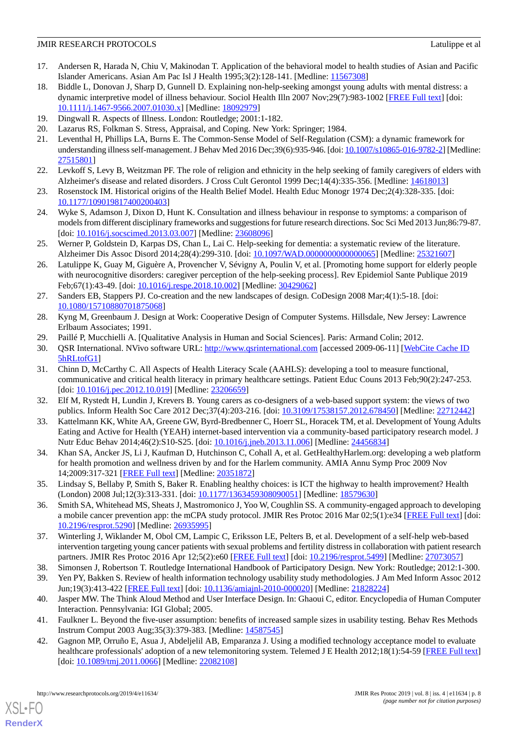- 17. Andersen R, Harada N, Chiu V, Makinodan T. Application of the behavioral model to health studies of Asian and Pacific Islander Americans. Asian Am Pac Isl J Health 1995;3(2):128-141. [Medline: [11567308](http://www.ncbi.nlm.nih.gov/entrez/query.fcgi?cmd=Retrieve&db=PubMed&list_uids=11567308&dopt=Abstract)]
- 18. Biddle L, Donovan J, Sharp D, Gunnell D. Explaining non-help-seeking amongst young adults with mental distress: a dynamic interpretive model of illness behaviour. Sociol Health Illn 2007 Nov;29(7):983-1002 [[FREE Full text](https://doi.org/10.1111/j.1467-9566.2007.01030.x)] [doi: [10.1111/j.1467-9566.2007.01030.x\]](http://dx.doi.org/10.1111/j.1467-9566.2007.01030.x) [Medline: [18092979\]](http://www.ncbi.nlm.nih.gov/entrez/query.fcgi?cmd=Retrieve&db=PubMed&list_uids=18092979&dopt=Abstract)
- 19. Dingwall R. Aspects of Illness. London: Routledge; 2001:1-182.
- 20. Lazarus RS, Folkman S. Stress, Appraisal, and Coping. New York: Springer; 1984.
- <span id="page-7-1"></span>21. Leventhal H, Phillips LA, Burns E. The Common-Sense Model of Self-Regulation (CSM): a dynamic framework for understanding illness self-management. J Behav Med 2016 Dec;39(6):935-946. [doi: [10.1007/s10865-016-9782-2\]](http://dx.doi.org/10.1007/s10865-016-9782-2) [Medline: [27515801](http://www.ncbi.nlm.nih.gov/entrez/query.fcgi?cmd=Retrieve&db=PubMed&list_uids=27515801&dopt=Abstract)]
- 22. Levkoff S, Levy B, Weitzman PF. The role of religion and ethnicity in the help seeking of family caregivers of elders with Alzheimer's disease and related disorders. J Cross Cult Gerontol 1999 Dec;14(4):335-356. [Medline: [14618013](http://www.ncbi.nlm.nih.gov/entrez/query.fcgi?cmd=Retrieve&db=PubMed&list_uids=14618013&dopt=Abstract)]
- 23. Rosenstock IM. Historical origins of the Health Belief Model. Health Educ Monogr 1974 Dec;2(4):328-335. [doi: [10.1177/109019817400200403\]](http://dx.doi.org/10.1177/109019817400200403)
- <span id="page-7-0"></span>24. Wyke S, Adamson J, Dixon D, Hunt K. Consultation and illness behaviour in response to symptoms: a comparison of models from different disciplinary frameworks and suggestions for future research directions. Soc Sci Med 2013 Jun;86:79-87. [doi: [10.1016/j.socscimed.2013.03.007\]](http://dx.doi.org/10.1016/j.socscimed.2013.03.007) [Medline: [23608096](http://www.ncbi.nlm.nih.gov/entrez/query.fcgi?cmd=Retrieve&db=PubMed&list_uids=23608096&dopt=Abstract)]
- <span id="page-7-2"></span>25. Werner P, Goldstein D, Karpas DS, Chan L, Lai C. Help-seeking for dementia: a systematic review of the literature. Alzheimer Dis Assoc Disord 2014;28(4):299-310. [doi: [10.1097/WAD.0000000000000065\]](http://dx.doi.org/10.1097/WAD.0000000000000065) [Medline: [25321607\]](http://www.ncbi.nlm.nih.gov/entrez/query.fcgi?cmd=Retrieve&db=PubMed&list_uids=25321607&dopt=Abstract)
- <span id="page-7-3"></span>26. Latulippe K, Guay M, Giguère A, Provencher V, Sévigny A, Poulin V, et al. [Promoting home support for elderly people with neurocognitive disorders: caregiver perception of the help-seeking process]. Rev Epidemiol Sante Publique 2019 Feb;67(1):43-49. [doi: [10.1016/j.respe.2018.10.002\]](http://dx.doi.org/10.1016/j.respe.2018.10.002) [Medline: [30429062](http://www.ncbi.nlm.nih.gov/entrez/query.fcgi?cmd=Retrieve&db=PubMed&list_uids=30429062&dopt=Abstract)]
- <span id="page-7-5"></span><span id="page-7-4"></span>27. Sanders EB, Stappers PJ. Co-creation and the new landscapes of design. CoDesign 2008 Mar;4(1):5-18. [doi: [10.1080/15710880701875068\]](http://dx.doi.org/10.1080/15710880701875068)
- <span id="page-7-6"></span>28. Kyng M, Greenbaum J. Design at Work: Cooperative Design of Computer Systems. Hillsdale, New Jersey: Lawrence Erlbaum Associates; 1991.
- <span id="page-7-7"></span>29. Paillé P, Mucchielli A. [Qualitative Analysis in Human and Social Sciences]. Paris: Armand Colin; 2012.
- 30. QSR International. NVivo software URL:<http://www.qsrinternational.com> [accessed 2009-06-11] [\[WebCite Cache ID](http://www.webcitation.org/

                 5hRLtofG1) [5hRLtofG1\]](http://www.webcitation.org/

                                5hRLtofG1)
- <span id="page-7-8"></span>31. Chinn D, McCarthy C. All Aspects of Health Literacy Scale (AAHLS): developing a tool to measure functional, communicative and critical health literacy in primary healthcare settings. Patient Educ Couns 2013 Feb;90(2):247-253. [doi: [10.1016/j.pec.2012.10.019\]](http://dx.doi.org/10.1016/j.pec.2012.10.019) [Medline: [23206659\]](http://www.ncbi.nlm.nih.gov/entrez/query.fcgi?cmd=Retrieve&db=PubMed&list_uids=23206659&dopt=Abstract)
- 32. Elf M, Rystedt H, Lundin J, Krevers B. Young carers as co-designers of a web-based support system: the views of two publics. Inform Health Soc Care 2012 Dec;37(4):203-216. [doi: [10.3109/17538157.2012.678450](http://dx.doi.org/10.3109/17538157.2012.678450)] [Medline: [22712442](http://www.ncbi.nlm.nih.gov/entrez/query.fcgi?cmd=Retrieve&db=PubMed&list_uids=22712442&dopt=Abstract)]
- <span id="page-7-15"></span>33. Kattelmann KK, White AA, Greene GW, Byrd-Bredbenner C, Hoerr SL, Horacek TM, et al. Development of Young Adults Eating and Active for Health (YEAH) internet-based intervention via a community-based participatory research model. J Nutr Educ Behav 2014;46(2):S10-S25. [doi: [10.1016/j.jneb.2013.11.006](http://dx.doi.org/10.1016/j.jneb.2013.11.006)] [Medline: [24456834\]](http://www.ncbi.nlm.nih.gov/entrez/query.fcgi?cmd=Retrieve&db=PubMed&list_uids=24456834&dopt=Abstract)
- 34. Khan SA, Ancker JS, Li J, Kaufman D, Hutchinson C, Cohall A, et al. GetHealthyHarlem.org: developing a web platform for health promotion and wellness driven by and for the Harlem community. AMIA Annu Symp Proc 2009 Nov 14;2009:317-321 [\[FREE Full text\]](http://europepmc.org/abstract/MED/20351872) [Medline: [20351872](http://www.ncbi.nlm.nih.gov/entrez/query.fcgi?cmd=Retrieve&db=PubMed&list_uids=20351872&dopt=Abstract)]
- <span id="page-7-9"></span>35. Lindsay S, Bellaby P, Smith S, Baker R. Enabling healthy choices: is ICT the highway to health improvement? Health (London) 2008 Jul;12(3):313-331. [doi: [10.1177/1363459308090051](http://dx.doi.org/10.1177/1363459308090051)] [Medline: [18579630\]](http://www.ncbi.nlm.nih.gov/entrez/query.fcgi?cmd=Retrieve&db=PubMed&list_uids=18579630&dopt=Abstract)
- <span id="page-7-10"></span>36. Smith SA, Whitehead MS, Sheats J, Mastromonico J, Yoo W, Coughlin SS. A community-engaged approach to developing a mobile cancer prevention app: the mCPA study protocol. JMIR Res Protoc 2016 Mar 02;5(1):e34 [[FREE Full text](http://www.researchprotocols.org/2016/1/e34/)] [doi: [10.2196/resprot.5290](http://dx.doi.org/10.2196/resprot.5290)] [Medline: [26935995\]](http://www.ncbi.nlm.nih.gov/entrez/query.fcgi?cmd=Retrieve&db=PubMed&list_uids=26935995&dopt=Abstract)
- <span id="page-7-12"></span><span id="page-7-11"></span>37. Winterling J, Wiklander M, Obol CM, Lampic C, Eriksson LE, Pelters B, et al. Development of a self-help web-based intervention targeting young cancer patients with sexual problems and fertility distress in collaboration with patient research partners. JMIR Res Protoc 2016 Apr 12;5(2):e60 [\[FREE Full text\]](http://www.researchprotocols.org/2016/2/e60/) [doi: [10.2196/resprot.5499](http://dx.doi.org/10.2196/resprot.5499)] [Medline: [27073057](http://www.ncbi.nlm.nih.gov/entrez/query.fcgi?cmd=Retrieve&db=PubMed&list_uids=27073057&dopt=Abstract)]
- <span id="page-7-13"></span>38. Simonsen J, Robertson T. Routledge International Handbook of Participatory Design. New York: Routledge; 2012:1-300.
- <span id="page-7-14"></span>39. Yen PY, Bakken S. Review of health information technology usability study methodologies. J Am Med Inform Assoc 2012 Jun;19(3):413-422 [[FREE Full text](http://jamia.oxfordjournals.org/lookup/pmidlookup?view=long&pmid=21828224)] [doi: [10.1136/amiajnl-2010-000020](http://dx.doi.org/10.1136/amiajnl-2010-000020)] [Medline: [21828224](http://www.ncbi.nlm.nih.gov/entrez/query.fcgi?cmd=Retrieve&db=PubMed&list_uids=21828224&dopt=Abstract)]
- 40. Jasper MW. The Think Aloud Method and User Interface Design. In: Ghaoui C, editor. Encyclopedia of Human Computer Interaction. Pennsylvania: IGI Global; 2005.
- 41. Faulkner L. Beyond the five-user assumption: benefits of increased sample sizes in usability testing. Behav Res Methods Instrum Comput 2003 Aug;35(3):379-383. [Medline: [14587545](http://www.ncbi.nlm.nih.gov/entrez/query.fcgi?cmd=Retrieve&db=PubMed&list_uids=14587545&dopt=Abstract)]
- 42. Gagnon MP, Orruño E, Asua J, Abdeljelil AB, Emparanza J. Using a modified technology acceptance model to evaluate healthcare professionals' adoption of a new telemonitoring system. Telemed J E Health 2012;18(1):54-59 [[FREE Full text](http://europepmc.org/abstract/MED/22082108)] [doi: [10.1089/tmj.2011.0066\]](http://dx.doi.org/10.1089/tmj.2011.0066) [Medline: [22082108](http://www.ncbi.nlm.nih.gov/entrez/query.fcgi?cmd=Retrieve&db=PubMed&list_uids=22082108&dopt=Abstract)]